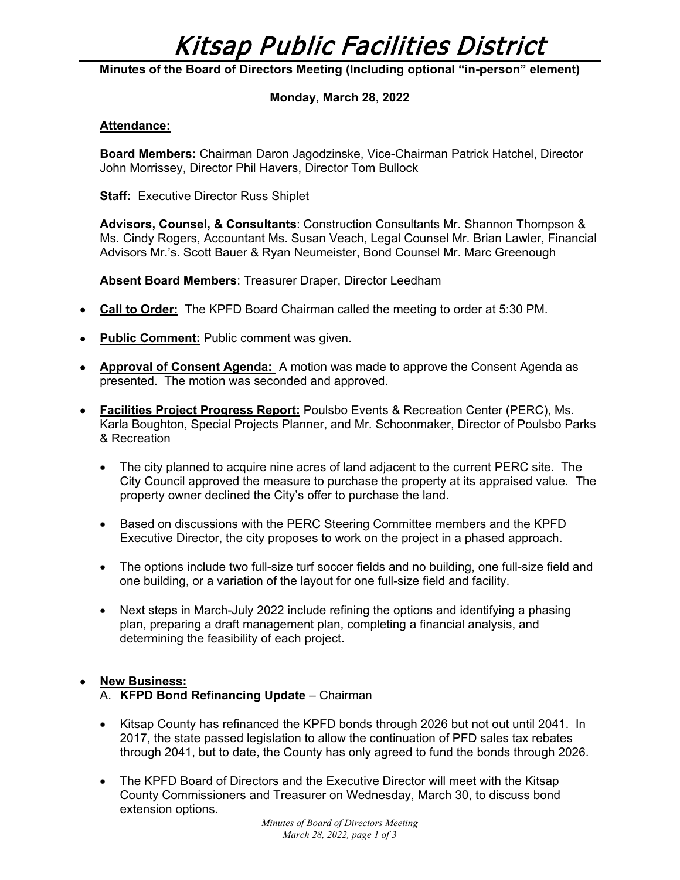# Kitsap Public Facilities District

**Minutes of the Board of Directors Meeting (Including optional "in-person" element)**

## **Monday, March 28, 2022**

#### **Attendance:**

**Board Members:** Chairman Daron Jagodzinske, Vice-Chairman Patrick Hatchel, Director John Morrissey, Director Phil Havers, Director Tom Bullock

**Staff:** Executive Director Russ Shiplet

**Advisors, Counsel, & Consultants**: Construction Consultants Mr. Shannon Thompson & Ms. Cindy Rogers, Accountant Ms. Susan Veach, Legal Counsel Mr. Brian Lawler, Financial Advisors Mr.'s. Scott Bauer & Ryan Neumeister, Bond Counsel Mr. Marc Greenough

**Absent Board Members**: Treasurer Draper, Director Leedham

- **Call to Order:** The KPFD Board Chairman called the meeting to order at 5:30 PM.
- **Public Comment:** Public comment was given.
- **Approval of Consent Agenda:** A motion was made to approve the Consent Agenda as presented. The motion was seconded and approved.
- **Facilities Project Progress Report:** Poulsbo Events & Recreation Center (PERC), Ms. Karla Boughton, Special Projects Planner, and Mr. Schoonmaker, Director of Poulsbo Parks & Recreation
	- The city planned to acquire nine acres of land adjacent to the current PERC site. The City Council approved the measure to purchase the property at its appraised value. The property owner declined the City's offer to purchase the land.
	- Based on discussions with the PERC Steering Committee members and the KPFD Executive Director, the city proposes to work on the project in a phased approach.
	- The options include two full-size turf soccer fields and no building, one full-size field and one building, or a variation of the layout for one full-size field and facility.
	- Next steps in March-July 2022 include refining the options and identifying a phasing plan, preparing a draft management plan, completing a financial analysis, and determining the feasibility of each project.

## • **New Business:**

A. **KFPD Bond Refinancing Update** – Chairman

- Kitsap County has refinanced the KPFD bonds through 2026 but not out until 2041. In 2017, the state passed legislation to allow the continuation of PFD sales tax rebates through 2041, but to date, the County has only agreed to fund the bonds through 2026.
- The KPFD Board of Directors and the Executive Director will meet with the Kitsap County Commissioners and Treasurer on Wednesday, March 30, to discuss bond extension options.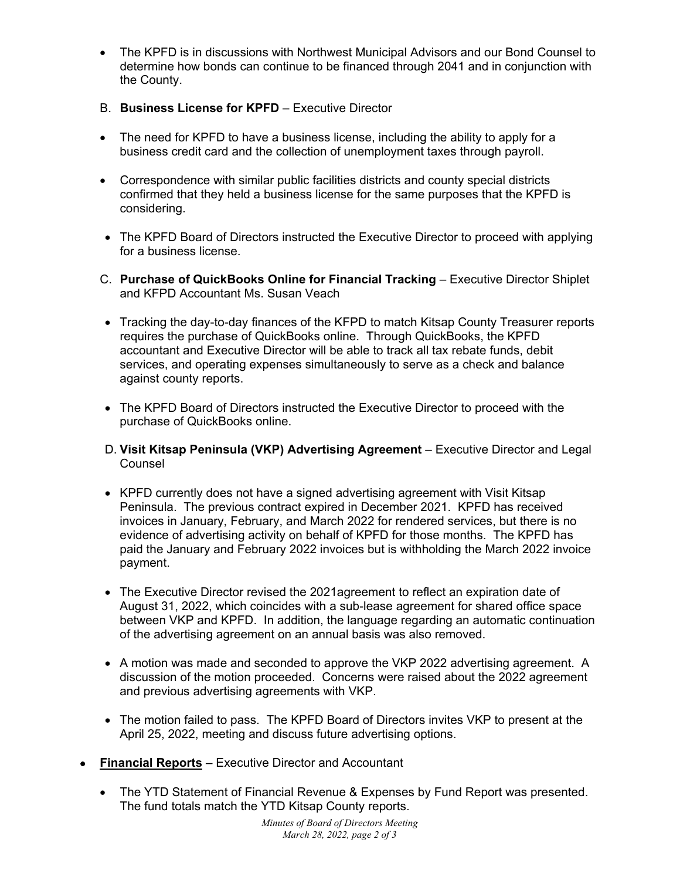- The KPFD is in discussions with Northwest Municipal Advisors and our Bond Counsel to determine how bonds can continue to be financed through 2041 and in conjunction with the County.
- B. **Business License for KPFD** Executive Director
- The need for KPFD to have a business license, including the ability to apply for a business credit card and the collection of unemployment taxes through payroll.
- Correspondence with similar public facilities districts and county special districts confirmed that they held a business license for the same purposes that the KPFD is considering.
- The KPFD Board of Directors instructed the Executive Director to proceed with applying for a business license.
- C. **Purchase of QuickBooks Online for Financial Tracking**  Executive Director Shiplet and KFPD Accountant Ms. Susan Veach
- Tracking the day-to-day finances of the KFPD to match Kitsap County Treasurer reports requires the purchase of QuickBooks online. Through QuickBooks, the KPFD accountant and Executive Director will be able to track all tax rebate funds, debit services, and operating expenses simultaneously to serve as a check and balance against county reports.
- The KPFD Board of Directors instructed the Executive Director to proceed with the purchase of QuickBooks online.
- D. **Visit Kitsap Peninsula (VKP) Advertising Agreement** Executive Director and Legal Counsel
- KPFD currently does not have a signed advertising agreement with Visit Kitsap Peninsula. The previous contract expired in December 2021. KPFD has received invoices in January, February, and March 2022 for rendered services, but there is no evidence of advertising activity on behalf of KPFD for those months. The KPFD has paid the January and February 2022 invoices but is withholding the March 2022 invoice payment.
- The Executive Director revised the 2021agreement to reflect an expiration date of August 31, 2022, which coincides with a sub-lease agreement for shared office space between VKP and KPFD. In addition, the language regarding an automatic continuation of the advertising agreement on an annual basis was also removed.
- A motion was made and seconded to approve the VKP 2022 advertising agreement. A discussion of the motion proceeded. Concerns were raised about the 2022 agreement and previous advertising agreements with VKP.
- The motion failed to pass. The KPFD Board of Directors invites VKP to present at the April 25, 2022, meeting and discuss future advertising options.
- **Financial Reports** Executive Director and Accountant
	- The YTD Statement of Financial Revenue & Expenses by Fund Report was presented. The fund totals match the YTD Kitsap County reports.